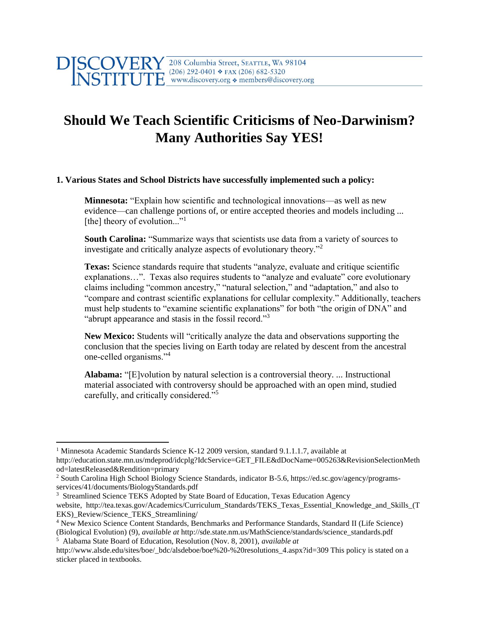## 208 Columbia Street, SEATTLE, WA 98104  $(206)$  292-0401 \* FAX (206) 682-5320 www.discovery.org • members@discovery.org

## **Should We Teach Scientific Criticisms of Neo-Darwinism? Many Authorities Say YES!**

## **1. Various States and School Districts have successfully implemented such a policy:**

**Minnesota:** "Explain how scientific and technological innovations—as well as new evidence—can challenge portions of, or entire accepted theories and models including ... [the] theory of evolution..."<sup>1</sup>

**South Carolina:** "Summarize ways that scientists use data from a variety of sources to investigate and critically analyze aspects of evolutionary theory."<sup>2</sup>

**Texas:** Science standards require that students "analyze, evaluate and critique scientific explanations…". Texas also requires students to "analyze and evaluate" core evolutionary claims including "common ancestry," "natural selection," and "adaptation," and also to "compare and contrast scientific explanations for cellular complexity." Additionally, teachers must help students to "examine scientific explanations" for both "the origin of DNA" and "abrupt appearance and stasis in the fossil record."<sup>3</sup>

**New Mexico:** Students will "critically analyze the data and observations supporting the conclusion that the species living on Earth today are related by descent from the ancestral one-celled organisms."<sup>4</sup>

**Alabama:** "[E]volution by natural selection is a controversial theory. ... Instructional material associated with controversy should be approached with an open mind, studied carefully, and critically considered."<sup>5</sup>

 $\overline{\phantom{a}}$ 

<sup>&</sup>lt;sup>1</sup> Minnesota Academic Standards Science K-12 2009 version, standard 9.1.1.1.7, available at http://education.state.mn.us/mdeprod/idcplg?IdcService=GET\_FILE&dDocName=005263&RevisionSelectionMeth od=latestReleased&Rendition=primary

<sup>2</sup> South Carolina High School Biology Science Standards, indicator B-5.6, https://ed.sc.gov/agency/programsservices/41/documents/BiologyStandards.pdf

<sup>&</sup>lt;sup>3</sup> Streamlined Science TEKS Adopted by State Board of Education, Texas Education Agency

website, http://tea.texas.gov/Academics/Curriculum\_Standards/TEKS\_Texas\_Essential\_Knowledge\_and\_Skills\_(T EKS)\_Review/Science\_TEKS\_Streamlining/

<sup>4</sup> New Mexico Science Content Standards, Benchmarks and Performance Standards, Standard II (Life Science)

<sup>(</sup>Biological Evolution) (9), *available at* http://sde.state.nm.us/MathScience/standards/science\_standards.pdf 5 Alabama State Board of Education, Resolution (Nov. 8, 2001), *available at* 

http://www.alsde.edu/sites/boe/\_bdc/alsdeboe/boe%20-%20resolutions\_4.aspx?id=309 This policy is stated on a sticker placed in textbooks.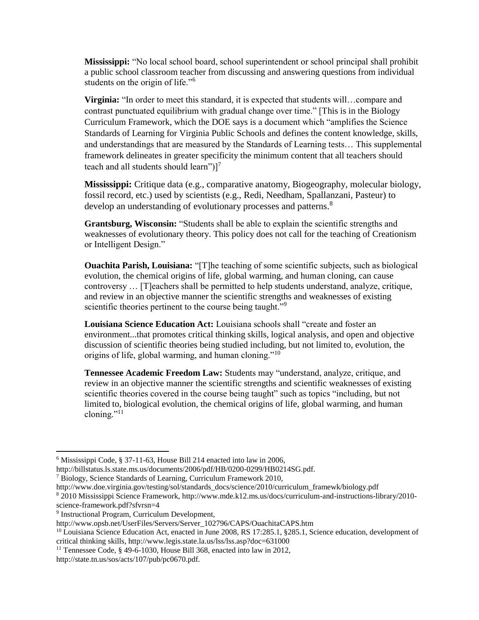**Mississippi:** "No local school board, school superintendent or school principal shall prohibit a public school classroom teacher from discussing and answering questions from individual students on the origin of life."<sup>6</sup>

**Virginia:** "In order to meet this standard, it is expected that students will…compare and contrast punctuated equilibrium with gradual change over time." [This is in the Biology Curriculum Framework, which the DOE says is a document which "amplifies the Science Standards of Learning for Virginia Public Schools and defines the content knowledge, skills, and understandings that are measured by the Standards of Learning tests… This supplemental framework delineates in greater specificity the minimum content that all teachers should teach and all students should learn") $]^{7}$ 

**Mississippi:** Critique data (e.g., comparative anatomy, Biogeography, molecular biology, fossil record, etc.) used by scientists (e.g., Redi, Needham, Spallanzani, Pasteur) to develop an understanding of evolutionary processes and patterns.<sup>8</sup>

**Grantsburg, Wisconsin:** "Students shall be able to explain the scientific strengths and weaknesses of evolutionary theory. This policy does not call for the teaching of Creationism or Intelligent Design."

**Ouachita Parish, Louisiana:** "[T]he teaching of some scientific subjects, such as biological evolution, the chemical origins of life, global warming, and human cloning, can cause controversy … [T]eachers shall be permitted to help students understand, analyze, critique, and review in an objective manner the scientific strengths and weaknesses of existing scientific theories pertinent to the course being taught."<sup>9</sup>

**Louisiana Science Education Act:** Louisiana schools shall "create and foster an environment...that promotes critical thinking skills, logical analysis, and open and objective discussion of scientific theories being studied including, but not limited to, evolution, the origins of life, global warming, and human cloning."<sup>10</sup>

**Tennessee Academic Freedom Law:** Students may "understand, analyze, critique, and review in an objective manner the scientific strengths and scientific weaknesses of existing scientific theories covered in the course being taught" such as topics "including, but not limited to, biological evolution, the chemical origins of life, global warming, and human cloning." $^{11}$ 

 $\overline{a}$ 

<sup>6</sup> Mississippi Code, § 37-11-63, House Bill 214 enacted into law in 2006,

http://billstatus.ls.state.ms.us/documents/2006/pdf/HB/0200-0299/HB0214SG.pdf.

<sup>7</sup> Biology, Science Standards of Learning, Curriculum Framework 2010,

[http://www.doe.virginia.gov/testing/sol/standards\\_docs/science/2010/curriculum\\_framewk/biology.pdf](http://www.doe.virginia.gov/testing/sol/standards_docs/science/2010/curriculum_framewk/biology.pdf)

<sup>8</sup> 2010 Mississippi Science Framework, http://www.mde.k12.ms.us/docs/curriculum-and-instructions-library/2010 science-framework.pdf?sfvrsn=4

<sup>9</sup> Instructional Program, Curriculum Development,

http://www.opsb.net/UserFiles/Servers/Server\_102796/CAPS/OuachitaCAPS.htm

<sup>&</sup>lt;sup>10</sup> Louisiana Science Education Act, enacted in June 2008, RS 17:285.1, §285.1, Science education, development of critical thinking skills, http://www.legis.state.la.us/lss/lss.asp?doc=631000

<sup>&</sup>lt;sup>11</sup> Tennessee Code, § 49-6-1030, House Bill 368, enacted into law in 2012,

http://state.tn.us/sos/acts/107/pub/pc0670.pdf.